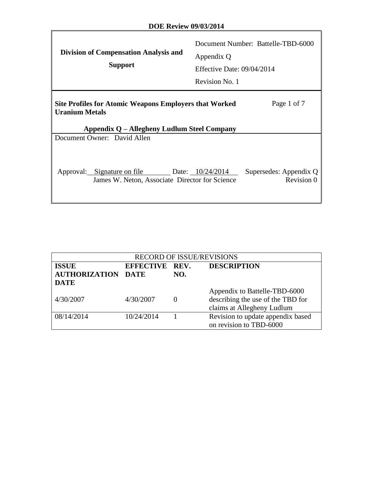$\Gamma$ 

 $\overline{\mathbf{I}}$ 

| <b>Division of Compensation Analysis and</b><br><b>Support</b>                                                                                       | Document Number: Battelle-TBD-6000<br>Appendix Q<br>Effective Date: 09/04/2014<br>Revision No. 1 |  |  |  |  |  |  |
|------------------------------------------------------------------------------------------------------------------------------------------------------|--------------------------------------------------------------------------------------------------|--|--|--|--|--|--|
| Page 1 of 7<br><b>Site Profiles for Atomic Weapons Employers that Worked</b><br><b>Uranium Metals</b><br>Appendix Q – Allegheny Ludlum Steel Company |                                                                                                  |  |  |  |  |  |  |
| Document Owner: David Allen                                                                                                                          |                                                                                                  |  |  |  |  |  |  |
| Approval: Signature on file Date: 10/24/2014<br>James W. Neton, Associate Director for Science                                                       | Supersedes: Appendix Q<br>Revision 0                                                             |  |  |  |  |  |  |

| <b>RECORD OF ISSUE/REVISIONS</b>                                                         |            |          |                                                                                                  |  |  |  |  |
|------------------------------------------------------------------------------------------|------------|----------|--------------------------------------------------------------------------------------------------|--|--|--|--|
| <b>ISSUE</b><br><b>DESCRIPTION</b><br>EFFECTIVE REV.<br><b>AUTHORIZATION DATE</b><br>NO. |            |          |                                                                                                  |  |  |  |  |
| <b>DATE</b>                                                                              |            |          |                                                                                                  |  |  |  |  |
| 4/30/2007                                                                                | 4/30/2007  | $\theta$ | Appendix to Battelle-TBD-6000<br>describing the use of the TBD for<br>claims at Allegheny Ludlum |  |  |  |  |
| 08/14/2014                                                                               | 10/24/2014 |          | Revision to update appendix based<br>on revision to TBD-6000                                     |  |  |  |  |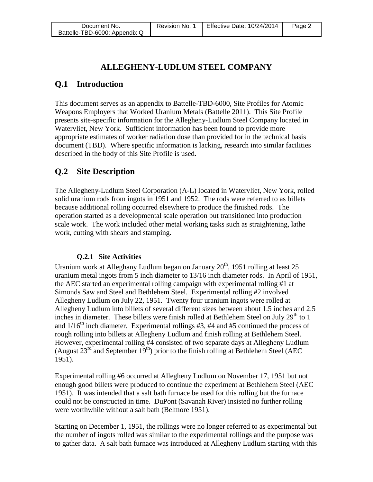# **ALLEGHENY-LUDLUM STEEL COMPANY**

# **Q.1 Introduction**

This document serves as an appendix to Battelle-TBD-6000, Site Profiles for Atomic Weapons Employers that Worked Uranium Metals (Battelle 2011). This Site Profile presents site-specific information for the Allegheny-Ludlum Steel Company located in Watervliet, New York. Sufficient information has been found to provide more appropriate estimates of worker radiation dose than provided for in the technical basis document (TBD). Where specific information is lacking, research into similar facilities described in the body of this Site Profile is used.

### **Q.2 Site Description**

The Allegheny-Ludlum Steel Corporation (A-L) located in Watervliet, New York, rolled solid uranium rods from ingots in 1951 and 1952. The rods were referred to as billets because additional rolling occurred elsewhere to produce the finished rods. The operation started as a developmental scale operation but transitioned into production scale work. The work included other metal working tasks such as straightening, lathe work, cutting with shears and stamping.

#### **Q.2.1 Site Activities**

Uranium work at Alleghany Ludlum began on January 20<sup>th</sup>, 1951 rolling at least 25 uranium metal ingots from 5 inch diameter to 13/16 inch diameter rods. In April of 1951, the AEC started an experimental rolling campaign with experimental rolling #1 at Simonds Saw and Steel and Bethlehem Steel. Experimental rolling #2 involved Allegheny Ludlum on July 22, 1951. Twenty four uranium ingots were rolled at Allegheny Ludlum into billets of several different sizes between about 1.5 inches and 2.5 inches in diameter. These billets were finish rolled at Bethlehem Steel on July  $29<sup>th</sup>$  to 1 and  $1/16^{th}$  inch diameter. Experimental rollings #3, #4 and #5 continued the process of rough rolling into billets at Allegheny Ludlum and finish rolling at Bethlehem Steel. However, experimental rolling #4 consisted of two separate days at Allegheny Ludlum (August  $23<sup>rd</sup>$  and September  $19<sup>th</sup>$ ) prior to the finish rolling at Bethlehem Steel (AEC 1951).

Experimental rolling #6 occurred at Allegheny Ludlum on November 17, 1951 but not enough good billets were produced to continue the experiment at Bethlehem Steel (AEC 1951). It was intended that a salt bath furnace be used for this rolling but the furnace could not be constructed in time. DuPont (Savanah River) insisted no further rolling were worthwhile without a salt bath (Belmore 1951).

Starting on December 1, 1951, the rollings were no longer referred to as experimental but the number of ingots rolled was similar to the experimental rollings and the purpose was to gather data. A salt bath furnace was introduced at Allegheny Ludlum starting with this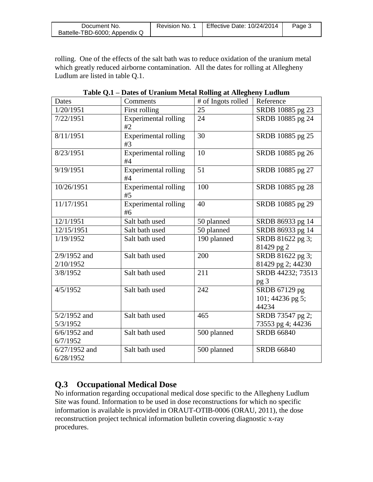| Document No.                  | Revision No. | Effective Date: 10/24/2014 | Page 3 |
|-------------------------------|--------------|----------------------------|--------|
| Battelle-TBD-6000; Appendix Q |              |                            |        |

rolling. One of the effects of the salt bath was to reduce oxidation of the uranium metal which greatly reduced airborne contamination. All the dates for rolling at Allegheny Ludlum are listed in table Q.1.

| rapic Q.1<br>Dates           | Daws of Uramum Mctar Koning at Ancynchy Luurum<br>Comments | # of Ingots rolled | Reference                                  |
|------------------------------|------------------------------------------------------------|--------------------|--------------------------------------------|
| 1/20/1951                    | First rolling                                              | 25                 | SRDB 10885 pg 23                           |
| 7/22/1951                    | Experimental rolling<br>#2                                 | 24                 | SRDB 10885 pg 24                           |
| 8/11/1951                    | <b>Experimental rolling</b><br>#3                          | 30                 | SRDB 10885 pg 25                           |
| 8/23/1951                    | <b>Experimental rolling</b><br>#4                          | 10                 | SRDB 10885 pg 26                           |
| 9/19/1951                    | <b>Experimental rolling</b><br>#4                          | 51                 | SRDB 10885 pg 27                           |
| 10/26/1951                   | <b>Experimental rolling</b><br>#5                          | 100                | SRDB 10885 pg 28                           |
| 11/17/1951                   | <b>Experimental rolling</b><br>#6                          | 40                 | SRDB 10885 pg 29                           |
| 12/1/1951                    | Salt bath used                                             | 50 planned         | SRDB 86933 pg 14                           |
| 12/15/1951                   | Salt bath used                                             | 50 planned         | SRDB 86933 pg 14                           |
| 1/19/1952                    | Salt bath used                                             | 190 planned        | SRDB 81622 pg 3;<br>81429 pg 2             |
| $2/9/1952$ and<br>2/10/1952  | Salt bath used                                             | 200                | SRDB 81622 pg 3;<br>81429 pg 2; 44230      |
| 3/8/1952                     | Salt bath used                                             | 211                | SRDB 44232; 73513<br>pg <sub>3</sub>       |
| 4/5/1952                     | Salt bath used                                             | 242                | SRDB 67129 pg<br>101; 44236 pg 5;<br>44234 |
| 5/2/1952 and<br>5/3/1952     | Salt bath used                                             | 465                | SRDB 73547 pg 2;<br>73553 pg 4; 44236      |
| $6/6/1952$ and<br>6/7/1952   | Salt bath used                                             | 500 planned        | <b>SRDB 66840</b>                          |
| $6/27/1952$ and<br>6/28/1952 | Salt bath used                                             | 500 planned        | <b>SRDB 66840</b>                          |

**Table Q.1 – Dates of Uranium Metal Rolling at Allegheny Ludlum**

# **Q.3 Occupational Medical Dose**

No information regarding occupational medical dose specific to the Allegheny Ludlum Site was found. Information to be used in dose reconstructions for which no specific information is available is provided in ORAUT-OTIB-0006 (ORAU, 2011), the dose reconstruction project technical information bulletin covering diagnostic x-ray procedures.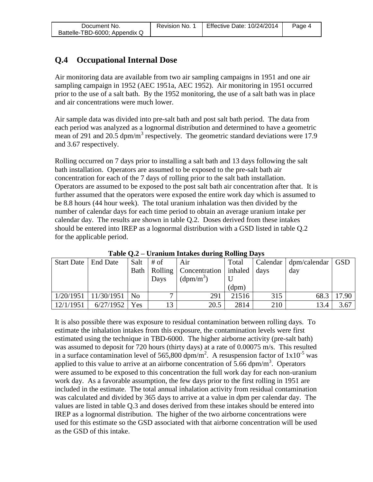# **Q.4 Occupational Internal Dose**

Air monitoring data are available from two air sampling campaigns in 1951 and one air sampling campaign in 1952 (AEC 1951a, AEC 1952). Air monitoring in 1951 occurred prior to the use of a salt bath. By the 1952 monitoring, the use of a salt bath was in place and air concentrations were much lower.

Air sample data was divided into pre-salt bath and post salt bath period. The data from each period was analyzed as a lognormal distribution and determined to have a geometric mean of 291 and 20.5 dpm/m<sup>3</sup> respectively. The geometric standard deviations were 17.9 and 3.67 respectively.

Rolling occurred on 7 days prior to installing a salt bath and 13 days following the salt bath installation. Operators are assumed to be exposed to the pre-salt bath air concentration for each of the 7 days of rolling prior to the salt bath installation. Operators are assumed to be exposed to the post salt bath air concentration after that. It is further assumed that the operators were exposed the entire work day which is assumed to be 8.8 hours (44 hour week). The total uranium inhalation was then divided by the number of calendar days for each time period to obtain an average uranium intake per calendar day. The results are shown in table Q.2. Doses derived from these intakes should be entered into IREP as a lognormal distribution with a GSD listed in table Q.2 for the applicable period.

| Start Date   End Date |                                 | Salt | $#$ of         | Air                                             | Total |     | Calendar   dpm/calendar   GSD |       |
|-----------------------|---------------------------------|------|----------------|-------------------------------------------------|-------|-----|-------------------------------|-------|
|                       |                                 |      |                | Bath   Rolling   Concentration   inhaled   days |       |     | day                           |       |
|                       |                                 |      | Days           | $(dpm/m^3)$                                     |       |     |                               |       |
|                       |                                 |      |                |                                                 | (dpm) |     |                               |       |
|                       | $1/20/1951$   $11/30/1951$   No |      | $\overline{ }$ | 291                                             | 21516 | 315 | 68.3                          | 17.90 |
| 12/1/1951             | $6/27/1952$ Yes                 |      | 12             | 20.5                                            | 2814  | 210 | 13.4                          | 3.67  |

**Table Q.2 – Uranium Intakes during Rolling Days**

It is also possible there was exposure to residual contamination between rolling days. To estimate the inhalation intakes from this exposure, the contamination levels were first estimated using the technique in TBD-6000. The higher airborne activity (pre-salt bath) was assumed to deposit for 720 hours (thirty days) at a rate of 0.00075 m/s. This resulted in a surface contamination level of 565,800 dpm/m<sup>2</sup>. A resuspension factor of  $1x10^{-5}$  was applied to this value to arrive at an airborne concentration of  $\overline{5.66}$  dpm/m<sup>3</sup>. Operators were assumed to be exposed to this concentration the full work day for each non-uranium work day. As a favorable assumption, the few days prior to the first rolling in 1951 are included in the estimate. The total annual inhalation activity from residual contamination was calculated and divided by 365 days to arrive at a value in dpm per calendar day. The values are listed in table Q.3 and doses derived from these intakes should be entered into IREP as a lognormal distribution. The higher of the two airborne concentrations were used for this estimate so the GSD associated with that airborne concentration will be used as the GSD of this intake.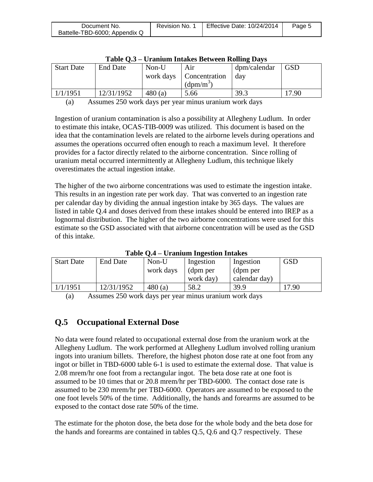| Document No.                  | Revision No. า | <b>Effective Date: 10/24/2014</b> | Page 5 |
|-------------------------------|----------------|-----------------------------------|--------|
| Battelle-TBD-6000; Appendix Q |                |                                   |        |

| $1$ avic $Q_{i,j}$ – UT allium Intakes Detween Koning Davs |            |           |               |              |            |  |  |  |
|------------------------------------------------------------|------------|-----------|---------------|--------------|------------|--|--|--|
| <b>Start Date</b>                                          | End Date   | $Non-U$   | Air           | dpm/calendar | <b>GSD</b> |  |  |  |
|                                                            |            | work days | Concentration | day          |            |  |  |  |
|                                                            |            |           | $(dpm/m^3)$   |              |            |  |  |  |
| 1/1/1951                                                   | 12/31/1952 | 480(a)    | 5.66          | 39.3         | 7.90       |  |  |  |
|                                                            |            |           |               |              |            |  |  |  |

(a) Assumes 250 work days per year minus uranium work days

Ingestion of uranium contamination is also a possibility at Allegheny Ludlum. In order to estimate this intake, OCAS-TIB-0009 was utilized. This document is based on the idea that the contamination levels are related to the airborne levels during operations and assumes the operations occurred often enough to reach a maximum level. It therefore provides for a factor directly related to the airborne concentration. Since rolling of uranium metal occurred intermittently at Allegheny Ludlum, this technique likely overestimates the actual ingestion intake.

The higher of the two airborne concentrations was used to estimate the ingestion intake. This results in an ingestion rate per work day. That was converted to an ingestion rate per calendar day by dividing the annual ingestion intake by 365 days. The values are listed in table Q.4 and doses derived from these intakes should be entered into IREP as a lognormal distribution. The higher of the two airborne concentrations were used for this estimate so the GSD associated with that airborne concentration will be used as the GSD of this intake.

| <b>Start Date</b> | End Date   | Non-U     | Ingestion | Ingestion     | <b>GSD</b> |  |  |  |
|-------------------|------------|-----------|-----------|---------------|------------|--|--|--|
|                   |            | work days | (dpm per  | (dpm per      |            |  |  |  |
|                   |            |           | work day) | calendar day) |            |  |  |  |
| 1/1/1951          | 12/31/1952 | 480(a)    | 58.2      | 39.9          | 7.90       |  |  |  |

**Table Q.4 – Uranium Ingestion Intakes**

(a) Assumes 250 work days per year minus uranium work days

#### **Q.5 Occupational External Dose**

No data were found related to occupational external dose from the uranium work at the Allegheny Ludlum. The work performed at Allegheny Ludlum involved rolling uranium ingots into uranium billets. Therefore, the highest photon dose rate at one foot from any ingot or billet in TBD-6000 table 6-1 is used to estimate the external dose. That value is 2.08 mrem/hr one foot from a rectangular ingot. The beta dose rate at one foot is assumed to be 10 times that or 20.8 mrem/hr per TBD-6000. The contact dose rate is assumed to be 230 mrem/hr per TBD-6000. Operators are assumed to be exposed to the one foot levels 50% of the time. Additionally, the hands and forearms are assumed to be exposed to the contact dose rate 50% of the time.

The estimate for the photon dose, the beta dose for the whole body and the beta dose for the hands and forearms are contained in tables Q.5, Q.6 and Q.7 respectively. These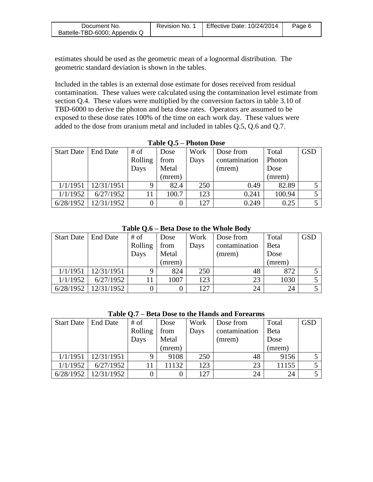| Document No.                  | Revision No. | <b>Effective Date: 10/24/2014</b> | Page 6 |
|-------------------------------|--------------|-----------------------------------|--------|
| Battelle-TBD-6000; Appendix Q |              |                                   |        |

estimates should be used as the geometric mean of a lognormal distribution. The geometric standard deviation is shown in the tables.

Included in the tables is an external dose estimate for doses received from residual contamination. These values were calculated using the contamination level estimate from section Q.4. These values were multiplied by the conversion factors in table 3.10 of TBD-6000 to derive the photon and beta dose rates. Operators are assumed to be exposed to these dose rates 100% of the time on each work day. These values were added to the dose from uranium metal and included in tables Q.5, Q.6 and Q.7.

| <b>Start Date</b> | <b>End Date</b> | # of    | Dose   | Work | Dose from     | Total  | <b>GSD</b> |
|-------------------|-----------------|---------|--------|------|---------------|--------|------------|
|                   |                 | Rolling | from   | Days | contamination | Photon |            |
|                   |                 | Days    | Metal  |      | (mrem)        | Dose   |            |
|                   |                 |         | (mrem) |      |               | (mrem) |            |
| 1/1/1951          | 12/31/1951      | 9       | 82.4   | 250  | 0.49          | 82.89  |            |
| 1/1/1952          | 6/27/1952       |         | 100.7  | 123  | 0.241         | 100.94 |            |
| 6/28/1952         | 12/31/1952      |         |        | 127  | 0.249         | 0.25   |            |

**Table Q.5 – Photon Dose**

**Table Q.6 – Beta Dose to the Whole Body**

| Start Date | <b>End Date</b> | # of    | Dose   | Work | Dose from     | Total        | <b>GSD</b> |
|------------|-----------------|---------|--------|------|---------------|--------------|------------|
|            |                 | Rolling | from   | Days | contamination | <b>B</b> eta |            |
|            |                 | Days    | Metal  |      | (mrem)        | Dose         |            |
|            |                 |         | (mrem) |      |               | (mrem)       |            |
| 1/1/1951   | 12/31/1951      |         | 824    | 250  | 48            | 872          |            |
| 1/1/1952   | 6/27/1952       |         | 1007   | 123  | 23            | 1030         |            |
| 6/28/1952  | 12/31/1952      |         |        | 127  | 24            | 24           |            |

**Table Q.7 – Beta Dose to the Hands and Forearms**

| <b>Start Date</b> | <b>End Date</b> | # of    | Dose   | Work | Dose from     | Total        | <b>GSD</b> |
|-------------------|-----------------|---------|--------|------|---------------|--------------|------------|
|                   |                 | Rolling | from   | Days | contamination | <b>B</b> eta |            |
|                   |                 | Days    | Metal  |      | (mrem)        | Dose         |            |
|                   |                 |         | (mrem) |      |               | (mrem)       |            |
| 1/1/1951          | 12/31/1951      | 9       | 9108   | 250  | 48            | 9156         |            |
| 1/1/1952          | 6/27/1952       | 11      | 11132  | 123  | 23            | 11155        |            |
| 6/28/1952         | 12/31/1952      |         |        | 127  | 24            | 24           |            |